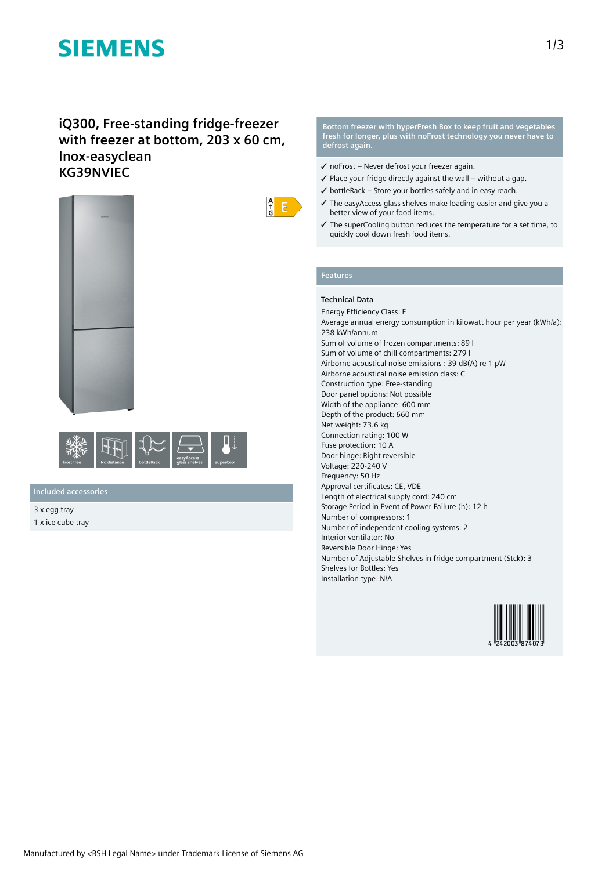# **SIEMENS**

# **iQ300, Free-standing fridge-freezer with freezer at bottom, 203 x 60 cm, Inox-easyclean KG39NVIEC**





**Included accessories**

3 x egg tray 1 x ice cube tray **Bottom freezer with hyperFresh Box to keep fruit and vegetables fresh for longer, plus with noFrost technology you never have to defrost again.**

- ✓ noFrost Never defrost your freezer again.
- $\checkmark$  Place your fridge directly against the wall without a gap.
- $\checkmark$  bottleRack Store your bottles safely and in easy reach.
- ✓ The easyAccess glass shelves make loading easier and give you a better view of your food items.
- ✓ The superCooling button reduces the temperature for a set time, to quickly cool down fresh food items.

#### **Features**

 $\frac{A}{f}$  $E$ 

## **Technical Data**

Energy Efficiency Class: E Average annual energy consumption in kilowatt hour per year (kWh/a): 238 kWh/annum Sum of volume of frozen compartments: 89 l Sum of volume of chill compartments: 279 l Airborne acoustical noise emissions : 39 dB(A) re 1 pW Airborne acoustical noise emission class: C Construction type: Free-standing Door panel options: Not possible Width of the appliance: 600 mm Depth of the product: 660 mm Net weight: 73.6 kg Connection rating: 100 W Fuse protection: 10 A Door hinge: Right reversible Voltage: 220-240 V Frequency: 50 Hz Approval certificates: CE, VDE Length of electrical supply cord: 240 cm Storage Period in Event of Power Failure (h): 12 h Number of compressors: 1 Number of independent cooling systems: 2 Interior ventilator: No Reversible Door Hinge: Yes Number of Adjustable Shelves in fridge compartment (Stck): 3 Shelves for Bottles: Yes Installation type: N/A

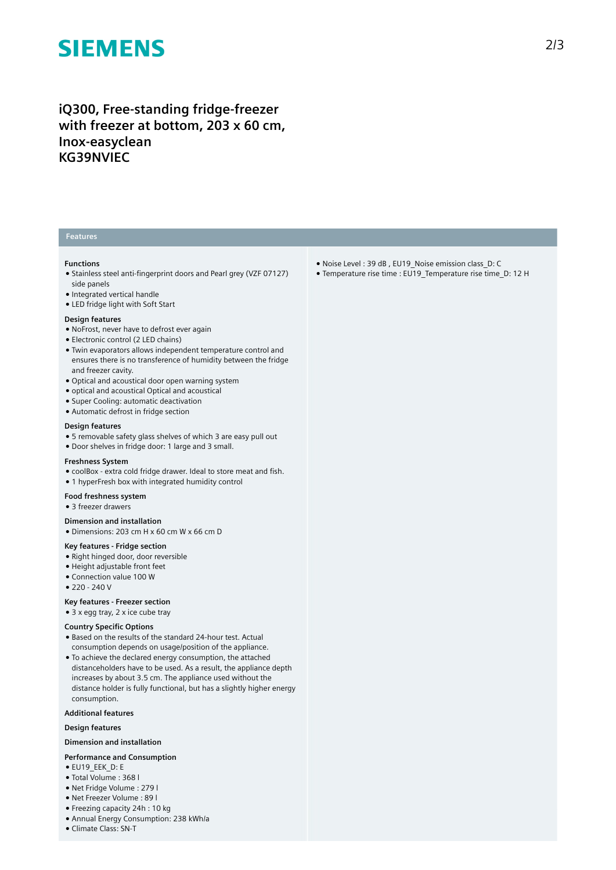# **SIEMENS**

# **iQ300, Free-standing fridge-freezer with freezer at bottom, 203 x 60 cm, Inox-easyclean KG39NVIEC**

# **Features**

#### **Functions**

- Stainless steel anti-fingerprint doors and Pearl grey (VZF 07127) side panels
- Integrated vertical handle
- LED fridge light with Soft Start

#### **Design features**

- NoFrost, never have to defrost ever again
- Electronic control (2 LED chains)
- Twin evaporators allows independent temperature control and ensures there is no transference of humidity between the fridge and freezer cavity.
- Optical and acoustical door open warning system
- optical and acoustical Optical and acoustical
- Super Cooling: automatic deactivation
- Automatic defrost in fridge section

### **Design features**

- 5 removable safety glass shelves of which 3 are easy pull out
- Door shelves in fridge door: 1 large and 3 small.

## **Freshness System**

- coolBox extra cold fridge drawer. Ideal to store meat and fish.
- 1 hyperFresh box with integrated humidity control

# **Food freshness system**

● 3 freezer drawers

## **Dimension and installation**

 $\bullet$  Dimensions: 203 cm H x 60 cm W x 66 cm D

# **Key features - Fridge section**

- Right hinged door, door reversible
- Height adjustable front feet
- Connection value 100 W
- $220 240V$

### **Key features - Freezer section**

● 3 x egg tray, 2 x ice cube tray

### **Country Specific Options**

- Based on the results of the standard 24-hour test. Actual consumption depends on usage/position of the appliance.
- To achieve the declared energy consumption, the attached distanceholders have to be used. As a result, the appliance depth increases by about 3.5 cm. The appliance used without the distance holder is fully functional, but has a slightly higher energy consumption.

#### **Additional features**

### **Design features**

# **Dimension and installation**

### **Performance and Consumption**

- EU19\_EEK\_D: E
- Total Volume : 368 l
- Net Fridge Volume : 279 l
- Net Freezer Volume : 89 l
- Freezing capacity 24h : 10 kg
- Annual Energy Consumption: 238 kWh/a
- Climate Class: SN-T
- Noise Level : 39 dB , EU19\_Noise emission class\_D: C
- Temperature rise time : EU19\_Temperature rise time\_D: 12 H